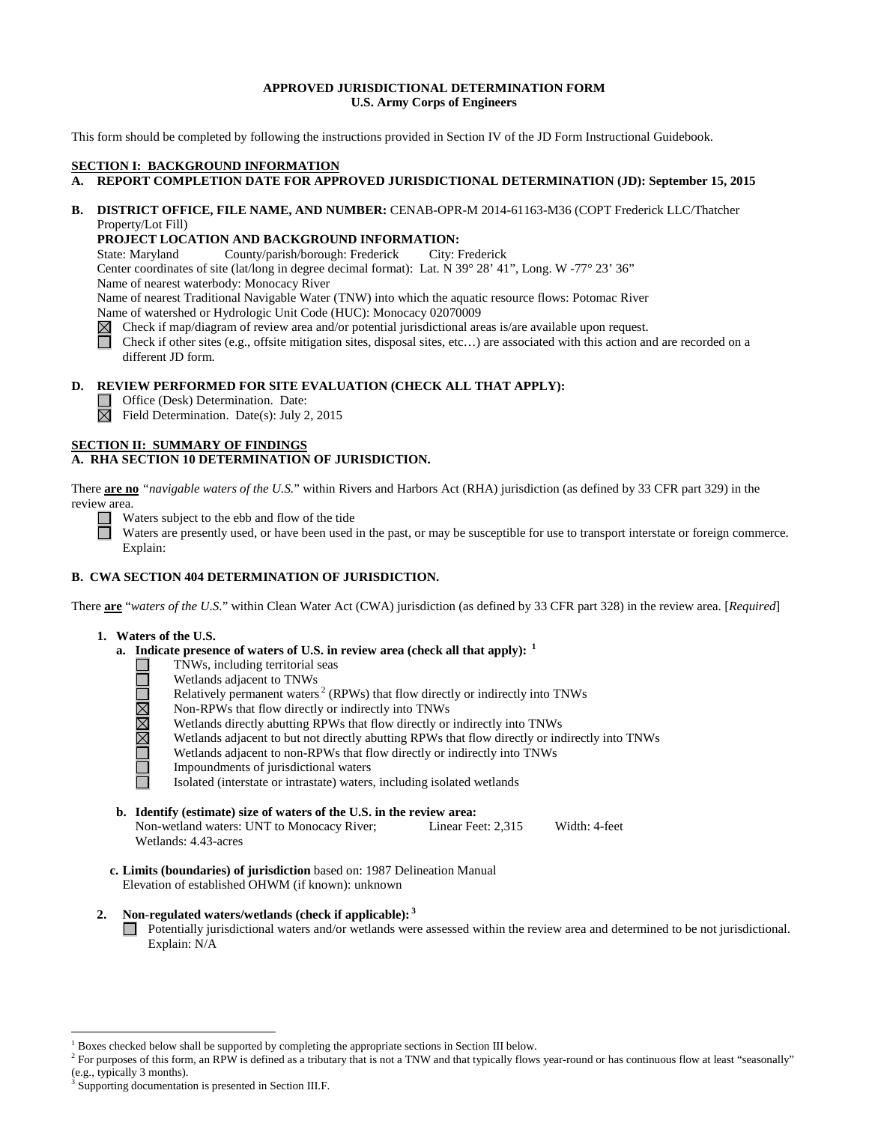### **APPROVED JURISDICTIONAL DETERMINATION FORM U.S. Army Corps of Engineers**

This form should be completed by following the instructions provided in Section IV of the JD Form Instructional Guidebook.

## **SECTION I: BACKGROUND INFORMATION**

## **A. REPORT COMPLETION DATE FOR APPROVED JURISDICTIONAL DETERMINATION (JD): September 15, 2015**

### **B. DISTRICT OFFICE, FILE NAME, AND NUMBER:** CENAB-OPR-M 2014-61163-M36 (COPT Frederick LLC/Thatcher Property/Lot Fill)

### **PROJECT LOCATION AND BACKGROUND INFORMATION:**

State: Maryland County/parish/borough: Frederick City: Frederick

Center coordinates of site (lat/long in degree decimal format): Lat. N 39° 28' 41", Long. W -77° 23' 36"

Name of nearest waterbody: Monocacy River

Name of nearest Traditional Navigable Water (TNW) into which the aquatic resource flows: Potomac River

Name of watershed or Hydrologic Unit Code (HUC): Monocacy 02070009

 $\boxtimes$ Check if map/diagram of review area and/or potential jurisdictional areas is/are available upon request.

Check if other sites (e.g., offsite mitigation sites, disposal sites, etc…) are associated with this action and are recorded on a different JD form.

### **D. REVIEW PERFORMED FOR SITE EVALUATION (CHECK ALL THAT APPLY):**

 $\Box$  Office (Desk) Determination. Date:

 $\boxtimes$  Field Determination. Date(s): July 2, 2015

### **SECTION II: SUMMARY OF FINDINGS**

## **A. RHA SECTION 10 DETERMINATION OF JURISDICTION.**

There **are no** *"navigable waters of the U.S.*" within Rivers and Harbors Act (RHA) jurisdiction (as defined by 33 CFR part 329) in the review area.

Waters subject to the ebb and flow of the tide

Waters are presently used, or have been used in the past, or may be susceptible for use to transport interstate or foreign commerce. Explain:

## **B. CWA SECTION 404 DETERMINATION OF JURISDICTION.**

There **are** "*waters of the U.S.*" within Clean Water Act (CWA) jurisdiction (as defined by 33 CFR part 328) in the review area. [*Required*]

### **1. Waters of the U.S.**

- **a.** Indicate presence of waters of U.S. in review area (check all that apply):  $\frac{1}{2}$ 
	- TNWs, including territorial seas
	- Wetlands adjacent to TNWs
	- Relatively permanent waters. $2$  (RPWs) that flow directly or indirectly into TNWs
	- OMMADO Non-RPWs that flow directly or indirectly into TNWs
		- Wetlands directly abutting RPWs that flow directly or indirectly into TNWs
		- Wetlands adjacent to but not directly abutting RPWs that flow directly or indirectly into TNWs
		- Wetlands adjacent to non-RPWs that flow directly or indirectly into TNWs
		- Impoundments of jurisdictional waters

Isolated (interstate or intrastate) waters, including isolated wetlands

- **b. Identify (estimate) size of waters of the U.S. in the review area:** Non-wetland waters: UNT to Monocacy River; Linear Feet: 2,315 Width: 4-feet Wetlands: 4.43-acres
- **c. Limits (boundaries) of jurisdiction** based on: 1987 Delineation Manual Elevation of established OHWM (if known): unknown

## 2. Non-regulated waters/wetlands (check if applicable):<sup>3</sup>

Potentially jurisdictional waters and/or wetlands were assessed within the review area and determined to be not jurisdictional. Explain: N/A

 <sup>1</sup> Boxes checked below shall be supported by completing the appropriate sections in Section III below.

<sup>&</sup>lt;sup>2</sup> For purposes of this form, an RPW is defined as a tributary that is not a TNW and that typically flows year-round or has continuous flow at least "seasonally" (e.g., typically 3 months).

Supporting documentation is presented in Section III.F.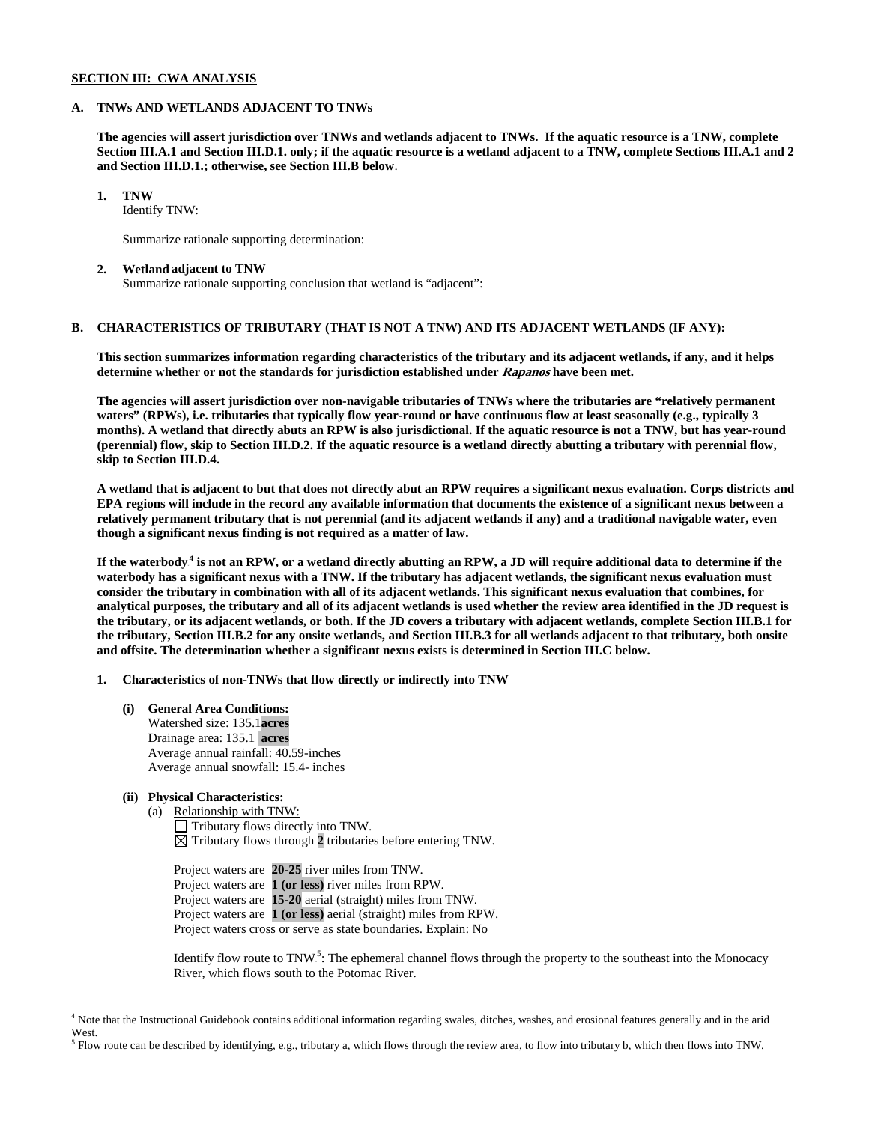### **SECTION III: CWA ANALYSIS**

### **A. TNWs AND WETLANDS ADJACENT TO TNWs**

**The agencies will assert jurisdiction over TNWs and wetlands adjacent to TNWs. If the aquatic resource is a TNW, complete Section III.A.1 and Section III.D.1. only; if the aquatic resource is a wetland adjacent to a TNW, complete Sections III.A.1 and 2 and Section III.D.1.; otherwise, see Section III.B below**.

**1. TNW**

Identify TNW:

Summarize rationale supporting determination:

### **2. Wetland adjacent to TNW**

Summarize rationale supporting conclusion that wetland is "adjacent":

## **B. CHARACTERISTICS OF TRIBUTARY (THAT IS NOT A TNW) AND ITS ADJACENT WETLANDS (IF ANY):**

**This section summarizes information regarding characteristics of the tributary and its adjacent wetlands, if any, and it helps determine whether or not the standards for jurisdiction established under Rapanos have been met.**

**The agencies will assert jurisdiction over non-navigable tributaries of TNWs where the tributaries are "relatively permanent waters" (RPWs), i.e. tributaries that typically flow year-round or have continuous flow at least seasonally (e.g., typically 3 months). A wetland that directly abuts an RPW is also jurisdictional. If the aquatic resource is not a TNW, but has year-round (perennial) flow, skip to Section III.D.2. If the aquatic resource is a wetland directly abutting a tributary with perennial flow, skip to Section III.D.4.**

**A wetland that is adjacent to but that does not directly abut an RPW requires a significant nexus evaluation. Corps districts and EPA regions will include in the record any available information that documents the existence of a significant nexus between a relatively permanent tributary that is not perennial (and its adjacent wetlands if any) and a traditional navigable water, even though a significant nexus finding is not required as a matter of law.**

If the waterbody.<sup>4</sup> is not an RPW, or a wetland directly abutting an RPW, a JD will require additional data to determine if the **waterbody has a significant nexus with a TNW. If the tributary has adjacent wetlands, the significant nexus evaluation must consider the tributary in combination with all of its adjacent wetlands. This significant nexus evaluation that combines, for analytical purposes, the tributary and all of its adjacent wetlands is used whether the review area identified in the JD request is the tributary, or its adjacent wetlands, or both. If the JD covers a tributary with adjacent wetlands, complete Section III.B.1 for the tributary, Section III.B.2 for any onsite wetlands, and Section III.B.3 for all wetlands adjacent to that tributary, both onsite and offsite. The determination whether a significant nexus exists is determined in Section III.C below.**

**1. Characteristics of non-TNWs that flow directly or indirectly into TNW**

**(i) General Area Conditions:** Watershed size: 135.1**acres** Drainage area: 135.1 **acres** Average annual rainfall: 40.59-inches Average annual snowfall: 15.4- inches

### **(ii) Physical Characteristics:**

(a) Relationship with TNW: Tributary flows directly into TNW.  $\boxtimes$  Tributary flows through 2 tributaries before entering TNW.

Project waters are **20-25** river miles from TNW. Project waters are **1 (or less)** river miles from RPW. Project waters are **15-20** aerial (straight) miles from TNW. Project waters are **1 (or less)** aerial (straight) miles from RPW. Project waters cross or serve as state boundaries. Explain: No

Identify flow route to  $TNW<sup>5</sup>$ : The ephemeral channel flows through the property to the southeast into the Monocacy River, which flows south to the Potomac River.

 <sup>4</sup> Note that the Instructional Guidebook contains additional information regarding swales, ditches, washes, and erosional features generally and in the arid West.

 $<sup>5</sup>$  Flow route can be described by identifying, e.g., tributary a, which flows through the review area, to flow into tributary b, which then flows into TNW.</sup>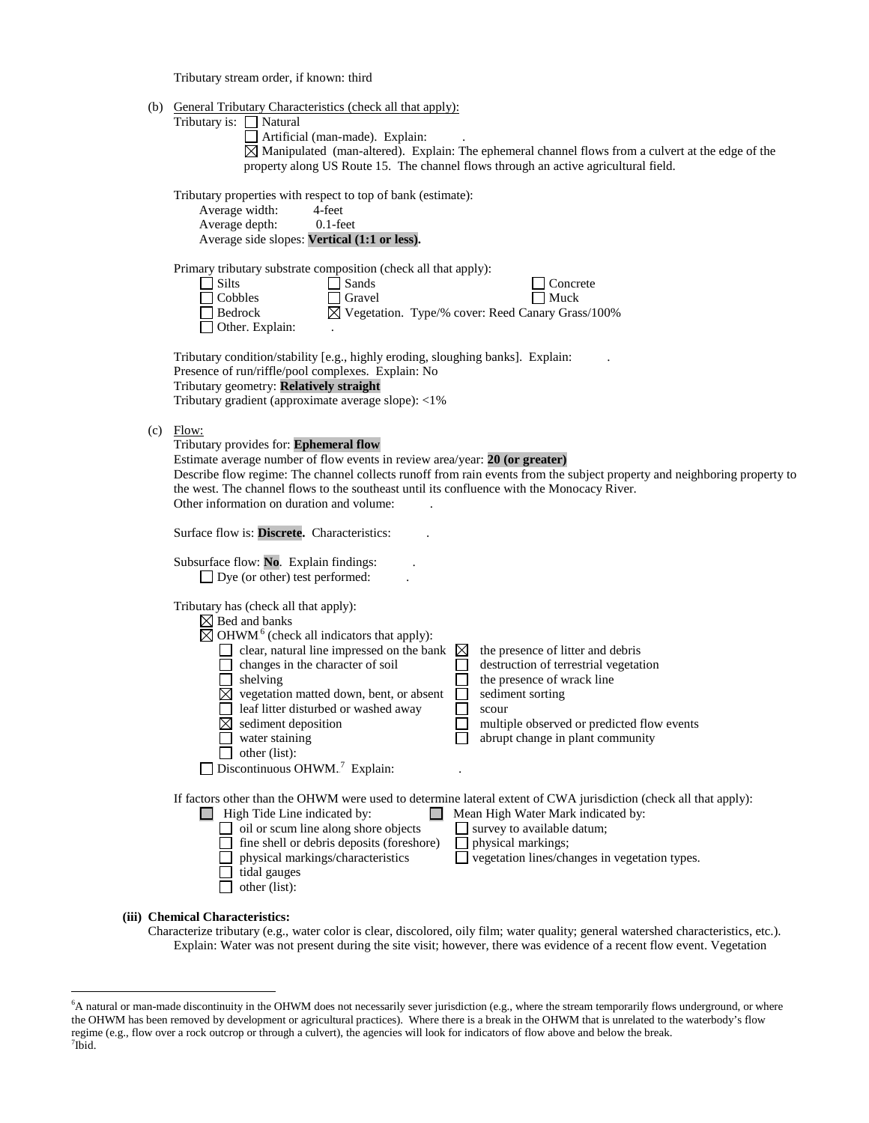Tributary stream order, if known: third

| (b) General Tributary Characteristics (check all that apply): |  |  |  |  |
|---------------------------------------------------------------|--|--|--|--|
|---------------------------------------------------------------|--|--|--|--|

|     | <u>Concrar Tributary Characteristics</u> (Check an that apply)<br>Tributary is: $\Box$ Natural<br>Artificial (man-made). Explain:<br>$\boxtimes$ Manipulated (man-altered). Explain: The ephemeral channel flows from a culvert at the edge of the<br>property along US Route 15. The channel flows through an active agricultural field.<br>Tributary properties with respect to top of bank (estimate):<br>Average width:<br>4-feet<br>Average depth:<br>$0.1$ -feet<br>Average side slopes: Vertical (1:1 or less).                                                                                                                                                              |  |  |
|-----|-------------------------------------------------------------------------------------------------------------------------------------------------------------------------------------------------------------------------------------------------------------------------------------------------------------------------------------------------------------------------------------------------------------------------------------------------------------------------------------------------------------------------------------------------------------------------------------------------------------------------------------------------------------------------------------|--|--|
|     |                                                                                                                                                                                                                                                                                                                                                                                                                                                                                                                                                                                                                                                                                     |  |  |
|     | Primary tributary substrate composition (check all that apply):<br>Silts<br>Sands<br>Concrete<br>Muck<br>Cobbles<br>Gravel<br>$\boxtimes$ Vegetation. Type/% cover: Reed Canary Grass/100%<br>Bedrock<br>Other. Explain:                                                                                                                                                                                                                                                                                                                                                                                                                                                            |  |  |
|     | Tributary condition/stability [e.g., highly eroding, sloughing banks]. Explain:<br>Presence of run/riffle/pool complexes. Explain: No<br>Tributary geometry: Relatively straight<br>Tributary gradient (approximate average slope): <1%                                                                                                                                                                                                                                                                                                                                                                                                                                             |  |  |
| (c) | Flow:<br>Tributary provides for: Ephemeral flow<br>Estimate average number of flow events in review area/year: 20 (or greater)<br>Describe flow regime: The channel collects runoff from rain events from the subject property and neighboring property to<br>the west. The channel flows to the southeast until its confluence with the Monocacy River.<br>Other information on duration and volume:                                                                                                                                                                                                                                                                               |  |  |
|     | Surface flow is: Discrete. Characteristics:                                                                                                                                                                                                                                                                                                                                                                                                                                                                                                                                                                                                                                         |  |  |
|     | Subsurface flow: No. Explain findings:<br>$\Box$ Dye (or other) test performed:                                                                                                                                                                                                                                                                                                                                                                                                                                                                                                                                                                                                     |  |  |
|     | Tributary has (check all that apply):<br>$\boxtimes$ Bed and banks<br>$\boxtimes$ OHWM <sup>6</sup> (check all indicators that apply):<br>clear, natural line impressed on the bank<br>$\boxtimes$<br>the presence of litter and debris<br>changes in the character of soil<br>destruction of terrestrial vegetation<br>shelving<br>the presence of wrack line<br>$\boxtimes$ vegetation matted down, bent, or absent<br>sediment sorting<br>leaf litter disturbed or washed away<br>scour<br>sediment deposition<br>multiple observed or predicted flow events<br>water staining<br>abrupt change in plant community<br>other (list):<br>Discontinuous OHWM. <sup>7</sup> Explain: |  |  |
|     | If factors other than the OHWM were used to determine lateral extent of CWA jurisdiction (check all that apply):<br>$\Box$ High Tide Line indicated by:<br>Mean High Water Mark indicated by:<br>$\Box$<br>oil or scum line along shore objects<br>survey to available datum;<br>fine shell or debris deposits (foreshore)<br>physical markings;<br>vegetation lines/changes in vegetation types.<br>physical markings/characteristics<br>tidal gauges<br>other (list):                                                                                                                                                                                                             |  |  |
|     | (iii) Chemical Characteristics:                                                                                                                                                                                                                                                                                                                                                                                                                                                                                                                                                                                                                                                     |  |  |

Characterize tributary (e.g., water color is clear, discolored, oily film; water quality; general watershed characteristics, etc.). Explain: Water was not present during the site visit; however, there was evidence of a recent flow event. Vegetation

 <sup>6</sup> <sup>6</sup>A natural or man-made discontinuity in the OHWM does not necessarily sever jurisdiction (e.g., where the stream temporarily flows underground, or where the OHWM has been removed by development or agricultural practices). Where there is a break in the OHWM that is unrelated to the waterbody's flow regime (e.g., flow over a rock outcrop or through a culvert), the agencies will look for indicators of flow above and below the break. <sup>7</sup>  $7$ Ibid.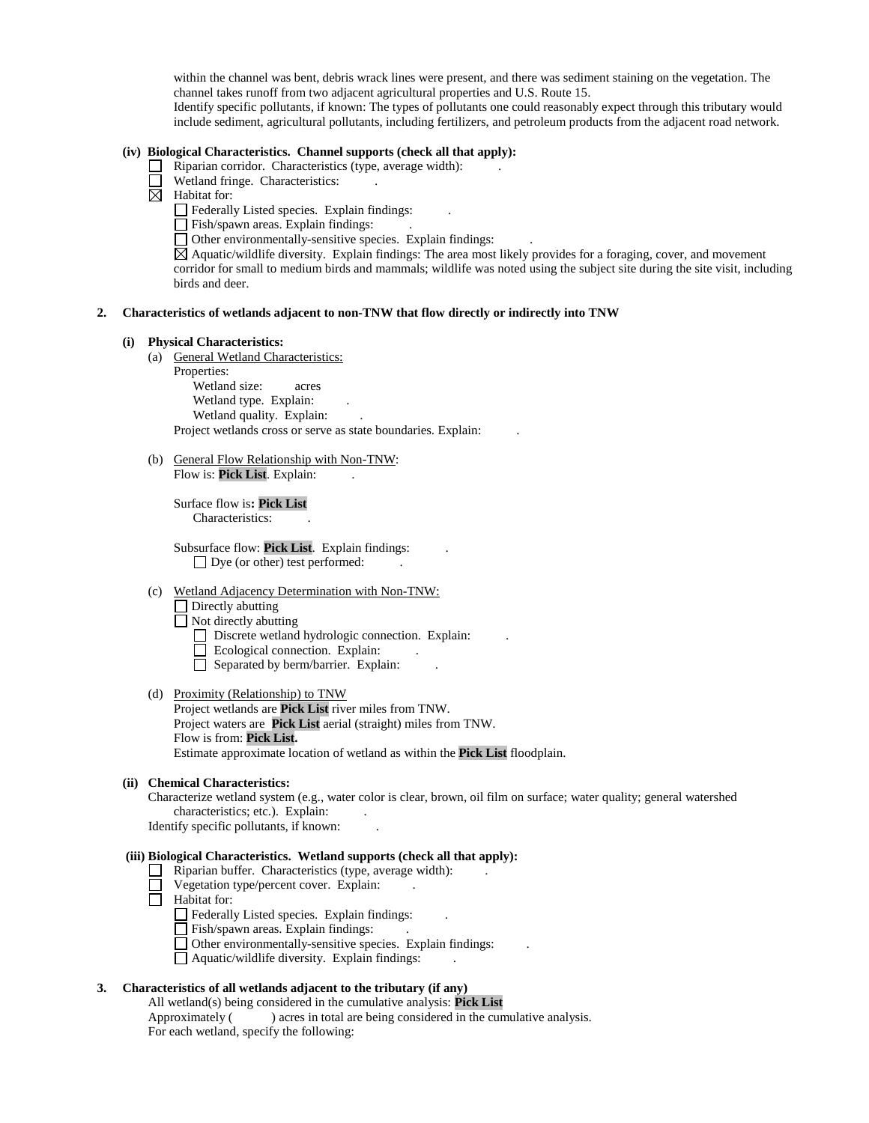within the channel was bent, debris wrack lines were present, and there was sediment staining on the vegetation. The channel takes runoff from two adjacent agricultural properties and U.S. Route 15.

Identify specific pollutants, if known: The types of pollutants one could reasonably expect through this tributary would include sediment, agricultural pollutants, including fertilizers, and petroleum products from the adjacent road network.

### **(iv) Biological Characteristics. Channel supports (check all that apply):**

- $\Box$  Riparian corridor. Characteristics (type, average width):
	- Wetland fringe. Characteristics:
- $\boxtimes$  Habitat for:
	- $\Box$  Federally Listed species. Explain findings:
	- $\Box$  Fish/spawn areas. Explain findings:
	- $\Box$  Other environmentally-sensitive species. Explain findings:

 $\boxtimes$  Aquatic/wildlife diversity. Explain findings: The area most likely provides for a foraging, cover, and movement corridor for small to medium birds and mammals; wildlife was noted using the subject site during the site visit, including birds and deer.

### **2. Characteristics of wetlands adjacent to non-TNW that flow directly or indirectly into TNW**

#### **(i) Physical Characteristics:**

- (a) General Wetland Characteristics:
	- Properties: Wetland size: acres Wetland type. Explain: Wetland quality. Explain: Project wetlands cross or serve as state boundaries. Explain: .
- (b) General Flow Relationship with Non-TNW: Flow is: Pick List. Explain:

Surface flow is**: Pick List**  Characteristics:

Subsurface flow: **Pick List**. Explain findings: . □ Dye (or other) test performed:

- (c) Wetland Adjacency Determination with Non-TNW:
	- $\Box$  Directly abutting
	- Not directly abutting
		- Discrete wetland hydrologic connection. Explain:
		- Ecological connection. Explain:
		- $\Box$  Separated by berm/barrier. Explain:
- (d) Proximity (Relationship) to TNW Project wetlands are **Pick List** river miles from TNW. Project waters are **Pick List** aerial (straight) miles from TNW. Flow is from: **Pick List.** Estimate approximate location of wetland as within the **Pick List** floodplain.

#### **(ii) Chemical Characteristics:**

Characterize wetland system (e.g., water color is clear, brown, oil film on surface; water quality; general watershed characteristics; etc.). Explain:

Identify specific pollutants, if known: .

## **(iii) Biological Characteristics. Wetland supports (check all that apply):**

- $\Box$  Riparian buffer. Characteristics (type, average width):
- $\Box$  Vegetation type/percent cover. Explain:
- $\Box$  Habitat for:
	- Federally Listed species. Explain findings: .
	- Fish/spawn areas. Explain findings: .
	- Other environmentally-sensitive species. Explain findings: .
	- $\Box$  Aquatic/wildlife diversity. Explain findings:

## **3. Characteristics of all wetlands adjacent to the tributary (if any)**

All wetland(s) being considered in the cumulative analysis: **Pick List**

Approximately ( ) acres in total are being considered in the cumulative analysis. For each wetland, specify the following: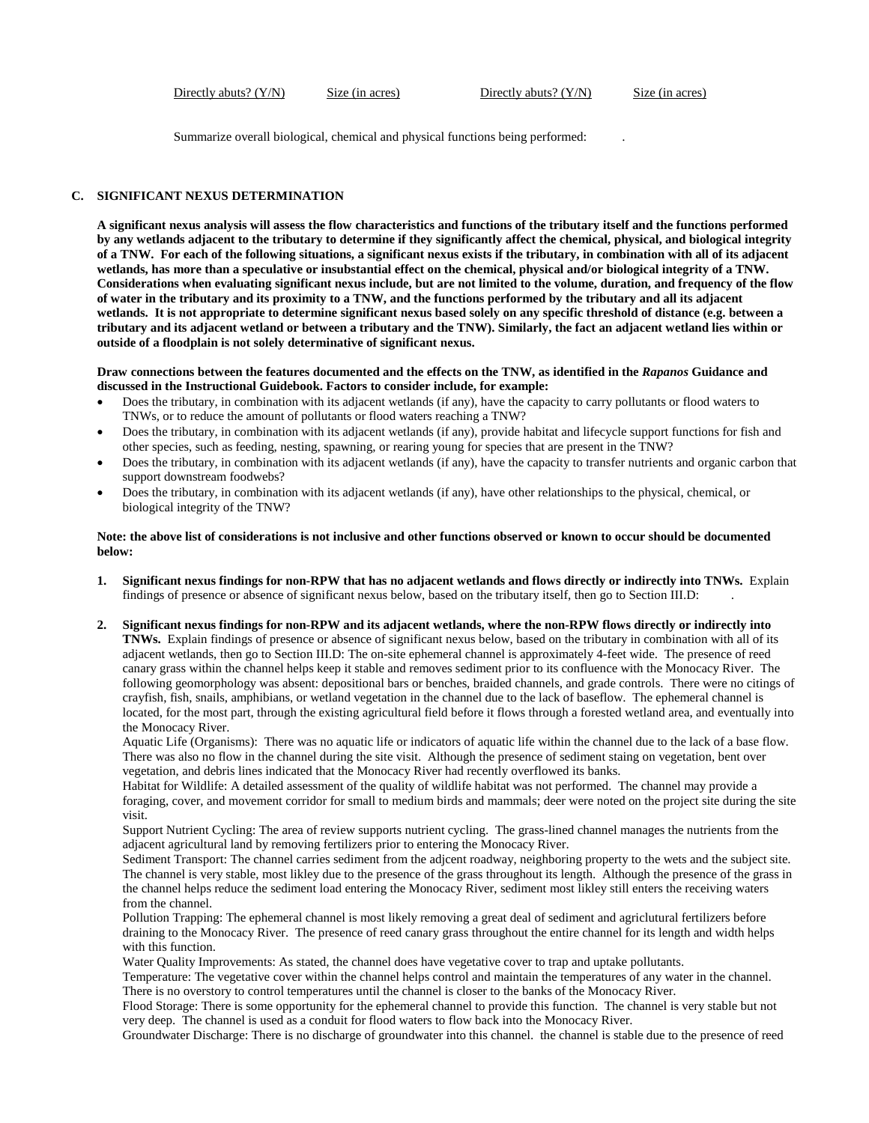Directly abuts? (Y/N) Size (in acres) Directly abuts? (Y/N) Size (in acres)

Summarize overall biological, chemical and physical functions being performed: .

## **C. SIGNIFICANT NEXUS DETERMINATION**

**A significant nexus analysis will assess the flow characteristics and functions of the tributary itself and the functions performed by any wetlands adjacent to the tributary to determine if they significantly affect the chemical, physical, and biological integrity of a TNW. For each of the following situations, a significant nexus exists if the tributary, in combination with all of its adjacent wetlands, has more than a speculative or insubstantial effect on the chemical, physical and/or biological integrity of a TNW. Considerations when evaluating significant nexus include, but are not limited to the volume, duration, and frequency of the flow of water in the tributary and its proximity to a TNW, and the functions performed by the tributary and all its adjacent wetlands. It is not appropriate to determine significant nexus based solely on any specific threshold of distance (e.g. between a tributary and its adjacent wetland or between a tributary and the TNW). Similarly, the fact an adjacent wetland lies within or outside of a floodplain is not solely determinative of significant nexus.** 

**Draw connections between the features documented and the effects on the TNW, as identified in the** *Rapanos* **Guidance and discussed in the Instructional Guidebook. Factors to consider include, for example:**

- Does the tributary, in combination with its adjacent wetlands (if any), have the capacity to carry pollutants or flood waters to TNWs, or to reduce the amount of pollutants or flood waters reaching a TNW?
- Does the tributary, in combination with its adjacent wetlands (if any), provide habitat and lifecycle support functions for fish and other species, such as feeding, nesting, spawning, or rearing young for species that are present in the TNW?
- Does the tributary, in combination with its adjacent wetlands (if any), have the capacity to transfer nutrients and organic carbon that support downstream foodwebs?
- Does the tributary, in combination with its adjacent wetlands (if any), have other relationships to the physical, chemical, or biological integrity of the TNW?

### **Note: the above list of considerations is not inclusive and other functions observed or known to occur should be documented below:**

- **1. Significant nexus findings for non-RPW that has no adjacent wetlands and flows directly or indirectly into TNWs.** Explain findings of presence or absence of significant nexus below, based on the tributary itself, then go to Section III.D: .
- **2. Significant nexus findings for non-RPW and its adjacent wetlands, where the non-RPW flows directly or indirectly into TNWs.** Explain findings of presence or absence of significant nexus below, based on the tributary in combination with all of its adjacent wetlands, then go to Section III.D: The on-site ephemeral channel is approximately 4-feet wide. The presence of reed canary grass within the channel helps keep it stable and removes sediment prior to its confluence with the Monocacy River. The following geomorphology was absent: depositional bars or benches, braided channels, and grade controls. There were no citings of crayfish, fish, snails, amphibians, or wetland vegetation in the channel due to the lack of baseflow. The ephemeral channel is located, for the most part, through the existing agricultural field before it flows through a forested wetland area, and eventually into the Monocacy River.

Aquatic Life (Organisms): There was no aquatic life or indicators of aquatic life within the channel due to the lack of a base flow. There was also no flow in the channel during the site visit. Although the presence of sediment staing on vegetation, bent over vegetation, and debris lines indicated that the Monocacy River had recently overflowed its banks.

Habitat for Wildlife: A detailed assessment of the quality of wildlife habitat was not performed. The channel may provide a foraging, cover, and movement corridor for small to medium birds and mammals; deer were noted on the project site during the site visit.

Support Nutrient Cycling: The area of review supports nutrient cycling. The grass-lined channel manages the nutrients from the adjacent agricultural land by removing fertilizers prior to entering the Monocacy River.

Sediment Transport: The channel carries sediment from the adjcent roadway, neighboring property to the wets and the subject site. The channel is very stable, most likley due to the presence of the grass throughout its length. Although the presence of the grass in the channel helps reduce the sediment load entering the Monocacy River, sediment most likley still enters the receiving waters from the channel.

Pollution Trapping: The ephemeral channel is most likely removing a great deal of sediment and agriclutural fertilizers before draining to the Monocacy River. The presence of reed canary grass throughout the entire channel for its length and width helps with this function.

Water Quality Improvements: As stated, the channel does have vegetative cover to trap and uptake pollutants.

Temperature: The vegetative cover within the channel helps control and maintain the temperatures of any water in the channel. There is no overstory to control temperatures until the channel is closer to the banks of the Monocacy River.

Flood Storage: There is some opportunity for the ephemeral channel to provide this function. The channel is very stable but not very deep. The channel is used as a conduit for flood waters to flow back into the Monocacy River.

Groundwater Discharge: There is no discharge of groundwater into this channel. the channel is stable due to the presence of reed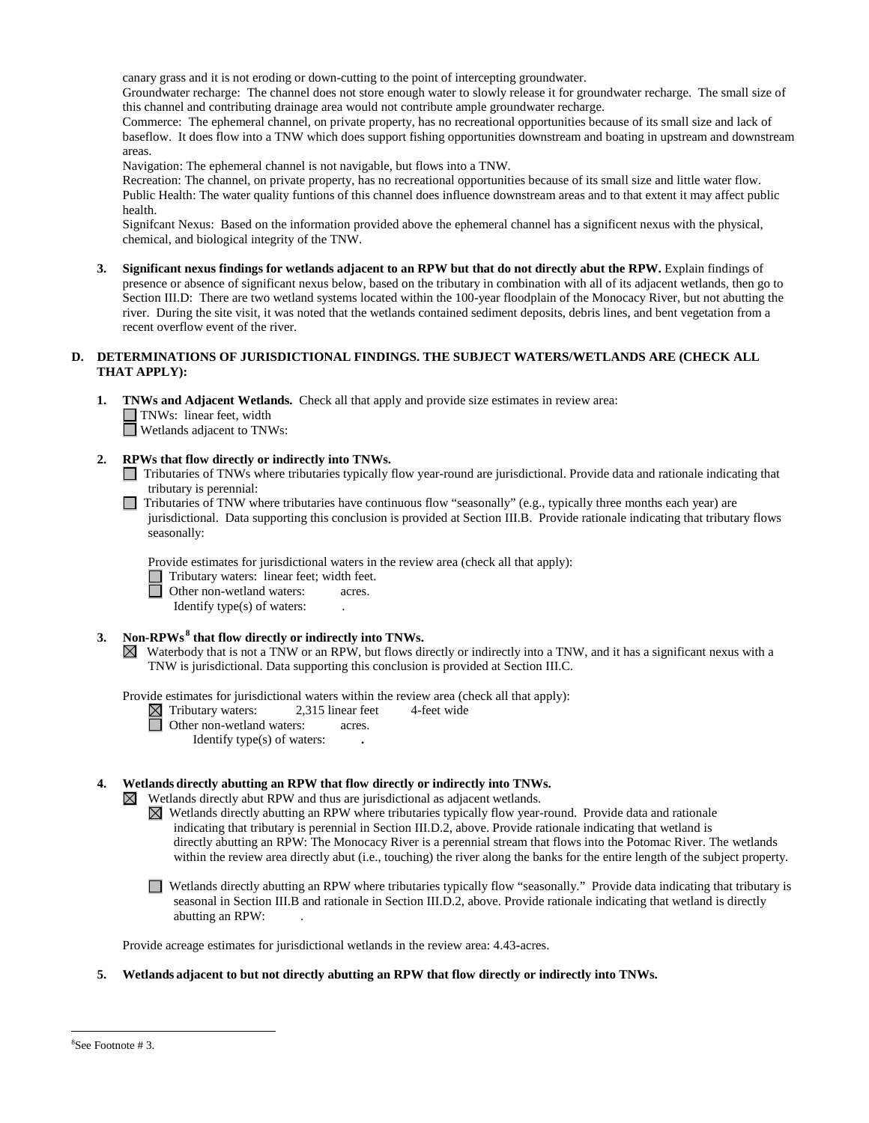canary grass and it is not eroding or down-cutting to the point of intercepting groundwater.

Groundwater recharge: The channel does not store enough water to slowly release it for groundwater recharge. The small size of this channel and contributing drainage area would not contribute ample groundwater recharge.

Commerce: The ephemeral channel, on private property, has no recreational opportunities because of its small size and lack of baseflow. It does flow into a TNW which does support fishing opportunities downstream and boating in upstream and downstream areas.

Navigation: The ephemeral channel is not navigable, but flows into a TNW.

Recreation: The channel, on private property, has no recreational opportunities because of its small size and little water flow. Public Health: The water quality funtions of this channel does influence downstream areas and to that extent it may affect public health.

Signifcant Nexus: Based on the information provided above the ephemeral channel has a significent nexus with the physical, chemical, and biological integrity of the TNW.

**3. Significant nexus findings for wetlands adjacent to an RPW but that do not directly abut the RPW.** Explain findings of presence or absence of significant nexus below, based on the tributary in combination with all of its adjacent wetlands, then go to Section III.D: There are two wetland systems located within the 100-year floodplain of the Monocacy River, but not abutting the river. During the site visit, it was noted that the wetlands contained sediment deposits, debris lines, and bent vegetation from a recent overflow event of the river.

### **D. DETERMINATIONS OF JURISDICTIONAL FINDINGS. THE SUBJECT WATERS/WETLANDS ARE (CHECK ALL THAT APPLY):**

**1. TNWs and Adjacent Wetlands.** Check all that apply and provide size estimates in review area: TNWs: linear feet, width Wetlands adjacent to TNWs:

## **2. RPWs that flow directly or indirectly into TNWs.**

- Tributaries of TNWs where tributaries typically flow year-round are jurisdictional. Provide data and rationale indicating that tributary is perennial:
- $\Box$  Tributaries of TNW where tributaries have continuous flow "seasonally" (e.g., typically three months each year) are jurisdictional. Data supporting this conclusion is provided at Section III.B. Provide rationale indicating that tributary flows seasonally:

Provide estimates for jurisdictional waters in the review area (check all that apply):

Tributary waters: linear feet; width feet.

Other non-wetland waters: acres.

Identify type(s) of waters: .

## 3. Non-RPWs<sup>8</sup> that flow directly or indirectly into TNWs.

 $\boxtimes$  Waterbody that is not a TNW or an RPW, but flows directly or indirectly into a TNW, and it has a significant nexus with a TNW is jurisdictional. Data supporting this conclusion is provided at Section III.C.

Provide estimates for jurisdictional waters within the review area (check all that apply):

■Tributary waters: 2,315 linear feet 4-feet wide<br>
■ Other non-wetland waters: 2,315 linear feet 4-feet wide

Other non-wetland waters: acres. Identify type(s) of waters: **.**

### **4. Wetlands directly abutting an RPW that flow directly or indirectly into TNWs.**

 $\boxtimes$  Wetlands directly abut RPW and thus are jurisdictional as adjacent wetlands.

 $\boxtimes$  Wetlands directly abutting an RPW where tributaries typically flow year-round. Provide data and rationale indicating that tributary is perennial in Section III.D.2, above. Provide rationale indicating that wetland is directly abutting an RPW: The Monocacy River is a perennial stream that flows into the Potomac River. The wetlands within the review area directly abut (i.e., touching) the river along the banks for the entire length of the subject property.

Wetlands directly abutting an RPW where tributaries typically flow "seasonally." Provide data indicating that tributary is seasonal in Section III.B and rationale in Section III.D.2, above. Provide rationale indicating that wetland is directly abutting an RPW: .

Provide acreage estimates for jurisdictional wetlands in the review area: 4.43**-**acres.

## **5. Wetlands adjacent to but not directly abutting an RPW that flow directly or indirectly into TNWs.**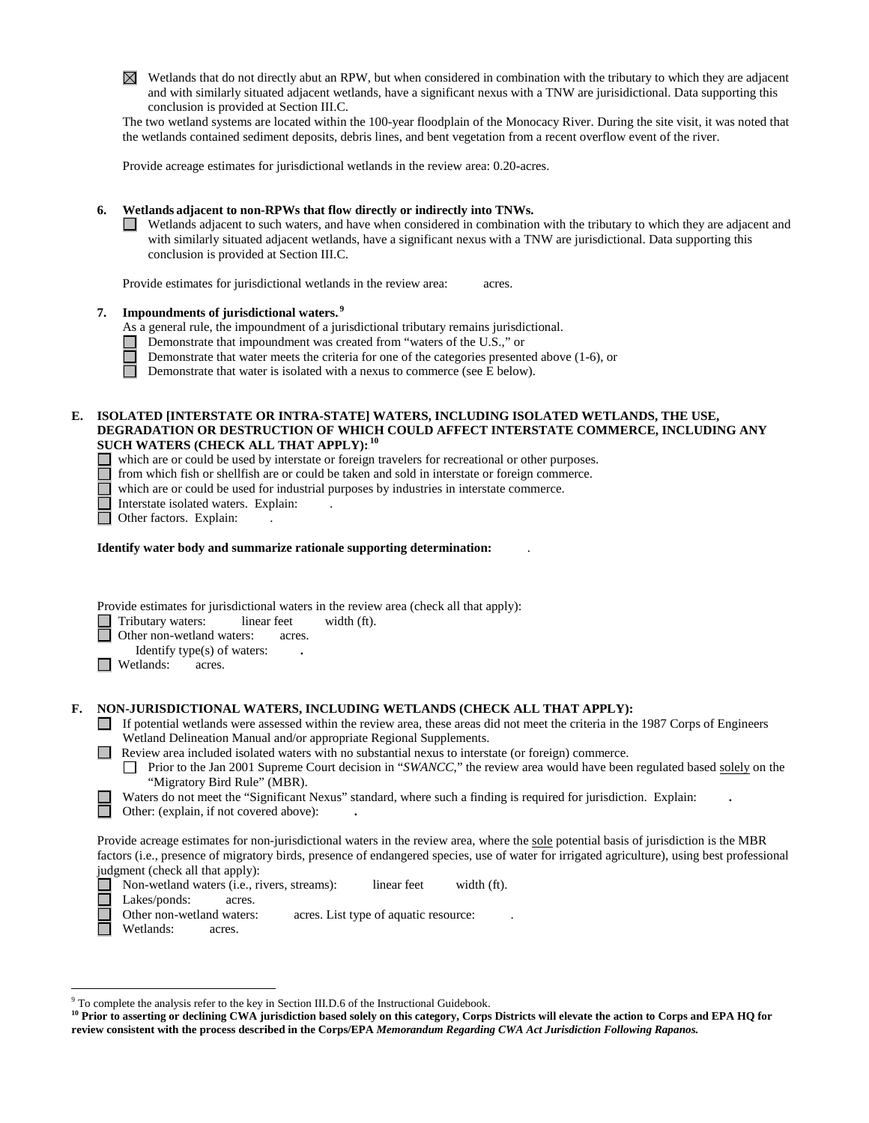$\boxtimes$  Wetlands that do not directly abut an RPW, but when considered in combination with the tributary to which they are adjacent and with similarly situated adjacent wetlands, have a significant nexus with a TNW are jurisidictional. Data supporting this conclusion is provided at Section III.C.

The two wetland systems are located within the 100-year floodplain of the Monocacy River. During the site visit, it was noted that the wetlands contained sediment deposits, debris lines, and bent vegetation from a recent overflow event of the river.

Provide acreage estimates for jurisdictional wetlands in the review area: 0.20**-**acres.

# **6. Wetlands adjacent to non-RPWs that flow directly or indirectly into TNWs.**

 $\Box$  Wetlands adjacent to such waters, and have when considered in combination with the tributary to which they are adjacent and with similarly situated adjacent wetlands, have a significant nexus with a TNW are jurisdictional. Data supporting this conclusion is provided at Section III.C.

Provide estimates for jurisdictional wetlands in the review area: acres.

# **7.** Impoundments of jurisdictional waters.<sup>9</sup>

As a general rule, the impoundment of a jurisdictional tributary remains jurisdictional.

- Demonstrate that impoundment was created from "waters of the U.S.," or
- Demonstrate that water meets the criteria for one of the categories presented above (1-6), or

П Demonstrate that water is isolated with a nexus to commerce (see E below).

## **E. ISOLATED [INTERSTATE OR INTRA-STATE] WATERS, INCLUDING ISOLATED WETLANDS, THE USE, DEGRADATION OR DESTRUCTION OF WHICH COULD AFFECT INTERSTATE COMMERCE, INCLUDING ANY**   ${\bf SUCH}$  WATERS (CHECK ALL THAT APPLY):  $^{10}$

- which are or could be used by interstate or foreign travelers for recreational or other purposes.
	- from which fish or shellfish are or could be taken and sold in interstate or foreign commerce.

which are or could be used for industrial purposes by industries in interstate commerce.

- □ Interstate isolated waters. Explain:<br>□ Other factors. Explain:
- Other factors. Explain:

# **Identify water body and summarize rationale supporting determination:** .

Provide estimates for jurisdictional waters in the review area (check all that apply):

Tributary waters: linear feet width (ft).

Other non-wetland waters: acres.

- Identify type(s) of waters: **.**
- **N** Wetlands: acres.

# **F. NON-JURISDICTIONAL WATERS, INCLUDING WETLANDS (CHECK ALL THAT APPLY):**

- If potential wetlands were assessed within the review area, these areas did not meet the criteria in the 1987 Corps of Engineers Wetland Delineation Manual and/or appropriate Regional Supplements.
- **Review area included isolated waters with no substantial nexus to interstate (or foreign) commerce.** 
	- **Prior to the Jan 2001 Supreme Court decision in "***SWANCC*," the review area would have been regulated based solely on the "Migratory Bird Rule" (MBR).

Waters do not meet the "Significant Nexus" standard, where such a finding is required for jurisdiction. Explain: **.**

Other: (explain, if not covered above): **.**

Provide acreage estimates for non-jurisdictional waters in the review area, where the sole potential basis of jurisdiction is the MBR factors (i.e., presence of migratory birds, presence of endangered species, use of water for irrigated agriculture), using best professional judgment (check all that apply):

Non-wetland waters (i.e., rivers, streams): linear feet width (ft).

Lakes/ponds: acres.

Other non-wetland waters: acres. List type of aquatic resource:

Wetlands: acres.

 <sup>9</sup> To complete the analysis refer to the key in Section III.D.6 of the Instructional Guidebook.

<sup>&</sup>lt;sup>10</sup> Prior to asserting or declining CWA jurisdiction based solely on this category, Corps Districts will elevate the action to Corps and EPA HQ for **review consistent with the process described in the Corps/EPA** *Memorandum Regarding CWA Act Jurisdiction Following Rapanos.*